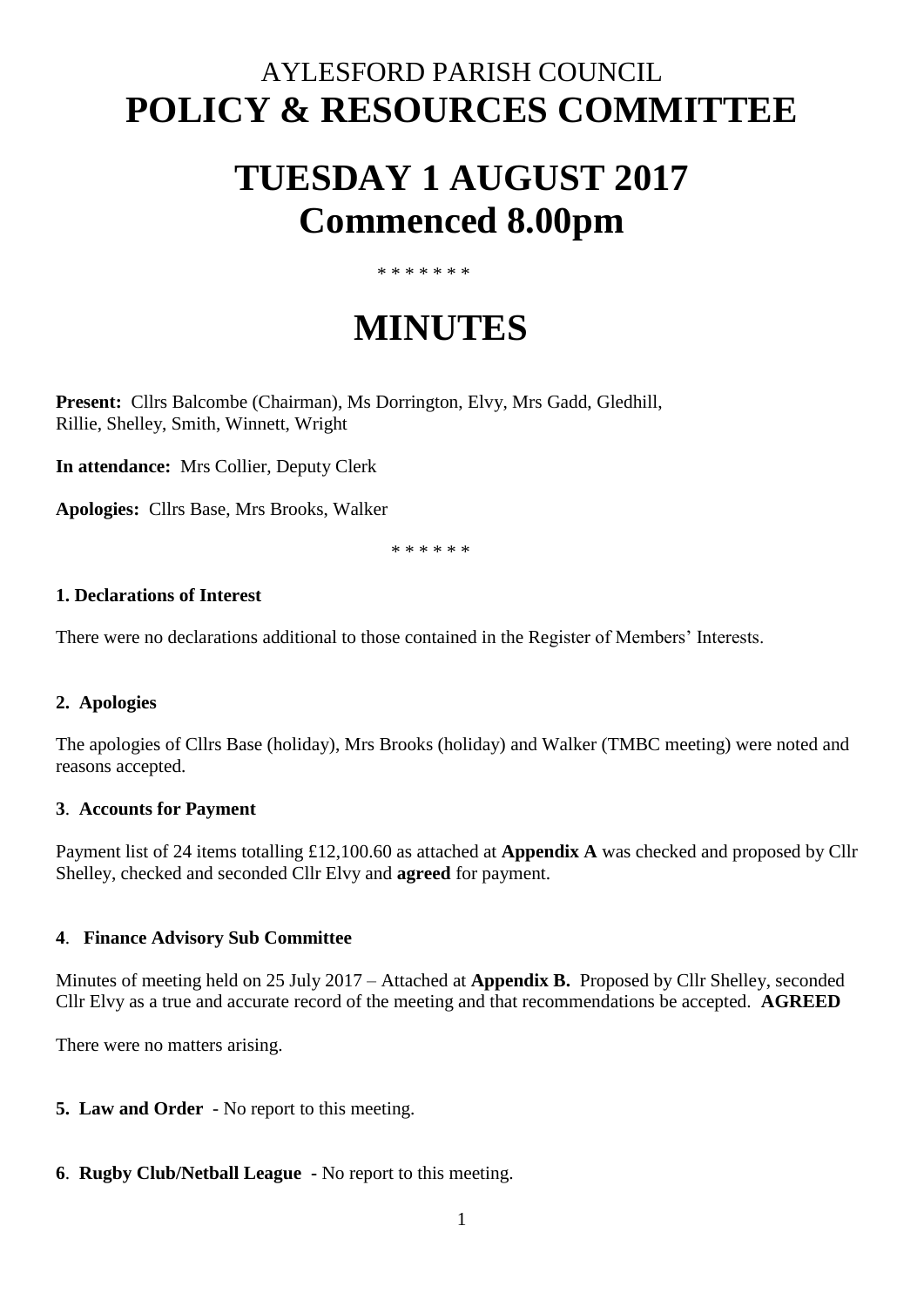### AYLESFORD PARISH COUNCIL **POLICY & RESOURCES COMMITTEE**

## **TUESDAY 1 AUGUST 2017 Commenced 8.00pm**

#### \* \* \* \* \* \* \*

# **MINUTES**

**Present:** Cllrs Balcombe (Chairman), Ms Dorrington, Elvy, Mrs Gadd, Gledhill, Rillie, Shelley, Smith, Winnett, Wright

**In attendance:** Mrs Collier, Deputy Clerk

**Apologies:** Cllrs Base, Mrs Brooks, Walker

\* \* \* \* \* \*

#### **1. Declarations of Interest**

There were no declarations additional to those contained in the Register of Members' Interests.

#### **2. Apologies**

The apologies of Cllrs Base (holiday), Mrs Brooks (holiday) and Walker (TMBC meeting) were noted and reasons accepted.

#### **3**. **Accounts for Payment**

Payment list of 24 items totalling £12,100.60 as attached at **Appendix A** was checked and proposed by Cllr Shelley, checked and seconded Cllr Elvy and **agreed** for payment.

#### **4**. **Finance Advisory Sub Committee**

Minutes of meeting held on 25 July 2017 – Attached at **Appendix B.** Proposed by Cllr Shelley, seconded Cllr Elvy as a true and accurate record of the meeting and that recommendations be accepted. **AGREED**

There were no matters arising.

**5. Law and Order** - No report to this meeting.

#### **6**. **Rugby Club/Netball League -** No report to this meeting.